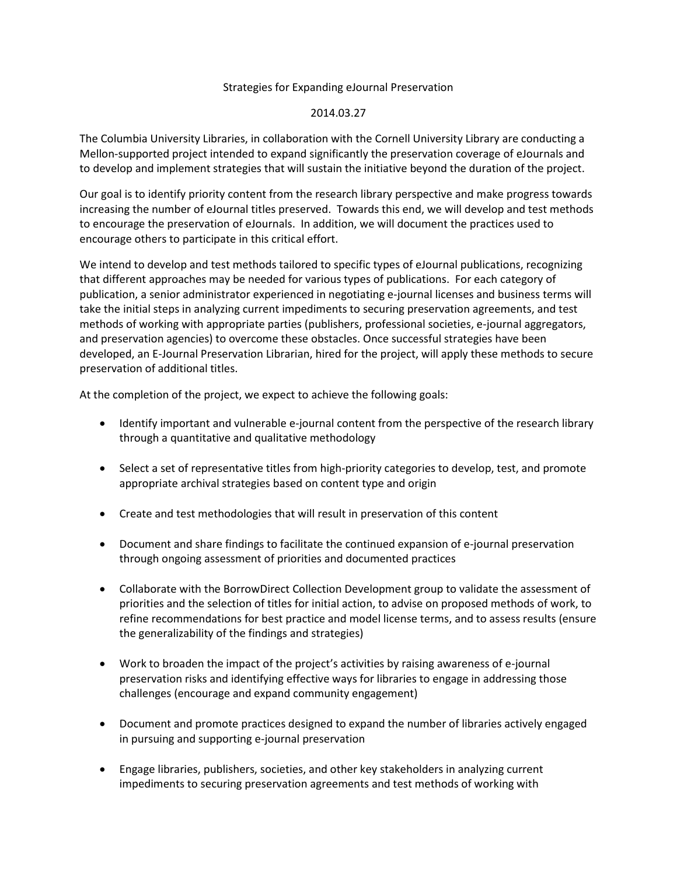## Strategies for Expanding eJournal Preservation

## 2014.03.27

The Columbia University Libraries, in collaboration with the Cornell University Library are conducting a Mellon-supported project intended to expand significantly the preservation coverage of eJournals and to develop and implement strategies that will sustain the initiative beyond the duration of the project.

Our goal is to identify priority content from the research library perspective and make progress towards increasing the number of eJournal titles preserved. Towards this end, we will develop and test methods to encourage the preservation of eJournals. In addition, we will document the practices used to encourage others to participate in this critical effort.

We intend to develop and test methods tailored to specific types of eJournal publications, recognizing that different approaches may be needed for various types of publications. For each category of publication, a senior administrator experienced in negotiating e-journal licenses and business terms will take the initial steps in analyzing current impediments to securing preservation agreements, and test methods of working with appropriate parties (publishers, professional societies, e-journal aggregators, and preservation agencies) to overcome these obstacles. Once successful strategies have been developed, an E-Journal Preservation Librarian, hired for the project, will apply these methods to secure preservation of additional titles.

At the completion of the project, we expect to achieve the following goals:

- Identify important and vulnerable e-journal content from the perspective of the research library through a quantitative and qualitative methodology
- Select a set of representative titles from high-priority categories to develop, test, and promote appropriate archival strategies based on content type and origin
- Create and test methodologies that will result in preservation of this content
- Document and share findings to facilitate the continued expansion of e-journal preservation through ongoing assessment of priorities and documented practices
- Collaborate with the BorrowDirect Collection Development group to validate the assessment of priorities and the selection of titles for initial action, to advise on proposed methods of work, to refine recommendations for best practice and model license terms, and to assess results (ensure the generalizability of the findings and strategies)
- Work to broaden the impact of the project's activities by raising awareness of e-journal preservation risks and identifying effective ways for libraries to engage in addressing those challenges (encourage and expand community engagement)
- Document and promote practices designed to expand the number of libraries actively engaged in pursuing and supporting e-journal preservation
- Engage libraries, publishers, societies, and other key stakeholders in analyzing current impediments to securing preservation agreements and test methods of working with